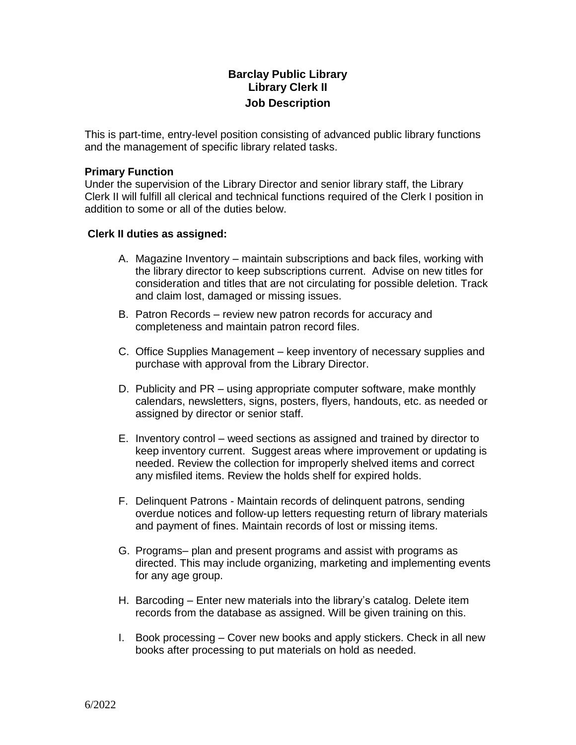# **Barclay Public Library Library Clerk II Job Description**

This is part-time, entry-level position consisting of advanced public library functions and the management of specific library related tasks.

#### **Primary Function**

Under the supervision of the Library Director and senior library staff, the Library Clerk II will fulfill all clerical and technical functions required of the Clerk I position in addition to some or all of the duties below.

#### **Clerk II duties as assigned:**

- A. Magazine Inventory maintain subscriptions and back files, working with the library director to keep subscriptions current. Advise on new titles for consideration and titles that are not circulating for possible deletion. Track and claim lost, damaged or missing issues.
- B. Patron Records review new patron records for accuracy and completeness and maintain patron record files.
- C. Office Supplies Management keep inventory of necessary supplies and purchase with approval from the Library Director.
- D. Publicity and PR using appropriate computer software, make monthly calendars, newsletters, signs, posters, flyers, handouts, etc. as needed or assigned by director or senior staff.
- E. Inventory control weed sections as assigned and trained by director to keep inventory current. Suggest areas where improvement or updating is needed. Review the collection for improperly shelved items and correct any misfiled items. Review the holds shelf for expired holds.
- F. Delinquent Patrons Maintain records of delinquent patrons, sending overdue notices and follow-up letters requesting return of library materials and payment of fines. Maintain records of lost or missing items.
- G. Programs– plan and present programs and assist with programs as directed. This may include organizing, marketing and implementing events for any age group.
- H. Barcoding Enter new materials into the library's catalog. Delete item records from the database as assigned. Will be given training on this.
- I. Book processing Cover new books and apply stickers. Check in all new books after processing to put materials on hold as needed.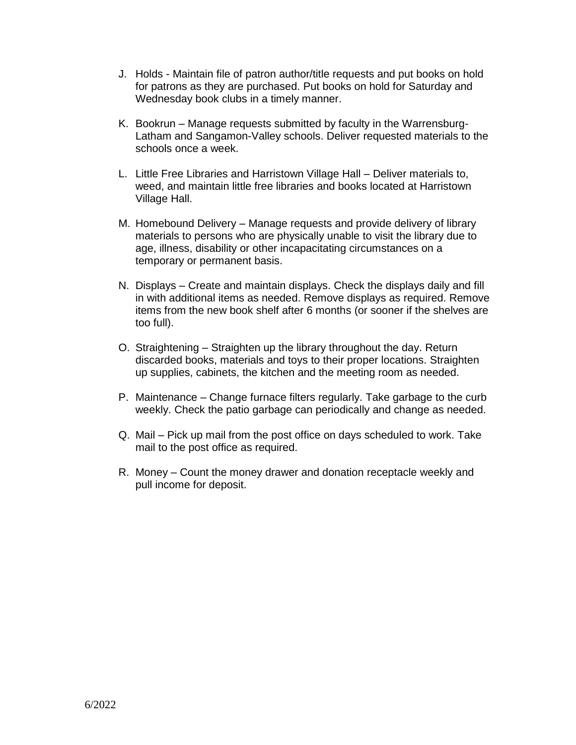- J. Holds Maintain file of patron author/title requests and put books on hold for patrons as they are purchased. Put books on hold for Saturday and Wednesday book clubs in a timely manner.
- K. Bookrun Manage requests submitted by faculty in the Warrensburg-Latham and Sangamon-Valley schools. Deliver requested materials to the schools once a week.
- L. Little Free Libraries and Harristown Village Hall Deliver materials to, weed, and maintain little free libraries and books located at Harristown Village Hall.
- M. Homebound Delivery Manage requests and provide delivery of library materials to persons who are physically unable to visit the library due to age, illness, disability or other incapacitating circumstances on a temporary or permanent basis.
- N. Displays Create and maintain displays. Check the displays daily and fill in with additional items as needed. Remove displays as required. Remove items from the new book shelf after 6 months (or sooner if the shelves are too full).
- O. Straightening Straighten up the library throughout the day. Return discarded books, materials and toys to their proper locations. Straighten up supplies, cabinets, the kitchen and the meeting room as needed.
- P. Maintenance Change furnace filters regularly. Take garbage to the curb weekly. Check the patio garbage can periodically and change as needed.
- Q. Mail Pick up mail from the post office on days scheduled to work. Take mail to the post office as required.
- R. Money Count the money drawer and donation receptacle weekly and pull income for deposit.